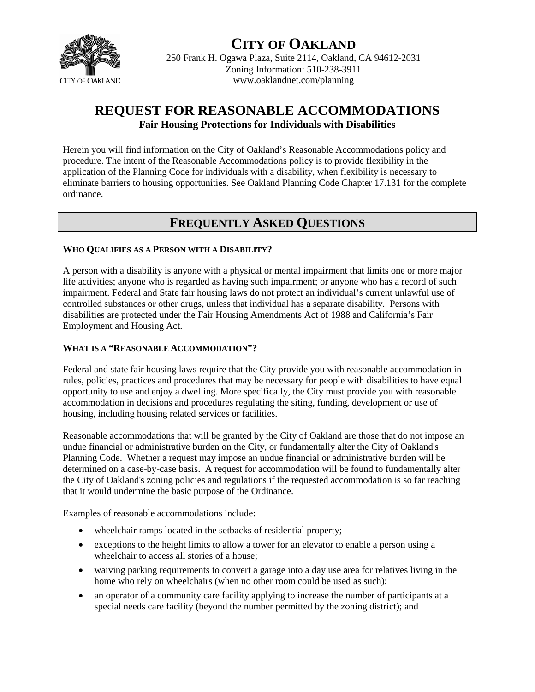

# **CITY OF OAKLAND**

250 Frank H. Ogawa Plaza, Suite 2114, Oakland, CA 94612-2031 Zoning Information: 510-238-3911 www.oaklandnet.com/planning

# **REQUEST FOR REASONABLE ACCOMMODATIONS Fair Housing Protections for Individuals with Disabilities**

Herein you will find information on the City of Oakland's Reasonable Accommodations policy and procedure. The intent of the Reasonable Accommodations policy is to provide flexibility in the application of the Planning Code for individuals with a disability, when flexibility is necessary to eliminate barriers to housing opportunities. See Oakland Planning Code Chapter 17.131 for the complete ordinance.

## **FREQUENTLY ASKED QUESTIONS**

## **WHO QUALIFIES AS A PERSON WITH A DISABILITY?**

A person with a disability is anyone with a physical or mental impairment that limits one or more major life activities; anyone who is regarded as having such impairment; or anyone who has a record of such impairment. Federal and State fair housing laws do not protect an individual's current unlawful use of controlled substances or other drugs, unless that individual has a separate disability. Persons with disabilities are protected under the Fair Housing Amendments Act of 1988 and California's Fair Employment and Housing Act.

## **WHAT IS A "REASONABLE ACCOMMODATION"?**

Federal and state fair housing laws require that the City provide you with reasonable accommodation in rules, policies, practices and procedures that may be necessary for people with disabilities to have equal opportunity to use and enjoy a dwelling. More specifically, the City must provide you with reasonable accommodation in decisions and procedures regulating the siting, funding, development or use of housing, including housing related services or facilities.

Reasonable accommodations that will be granted by the City of Oakland are those that do not impose an undue financial or administrative burden on the City, or fundamentally alter the City of Oakland's Planning Code. Whether a request may impose an undue financial or administrative burden will be determined on a case-by-case basis. A request for accommodation will be found to fundamentally alter the City of Oakland's zoning policies and regulations if the requested accommodation is so far reaching that it would undermine the basic purpose of the Ordinance.

Examples of reasonable accommodations include:

- wheelchair ramps located in the setbacks of residential property;
- exceptions to the height limits to allow a tower for an elevator to enable a person using a wheelchair to access all stories of a house;
- waiving parking requirements to convert a garage into a day use area for relatives living in the home who rely on wheelchairs (when no other room could be used as such);
- an operator of a community care facility applying to increase the number of participants at a special needs care facility (beyond the number permitted by the zoning district); and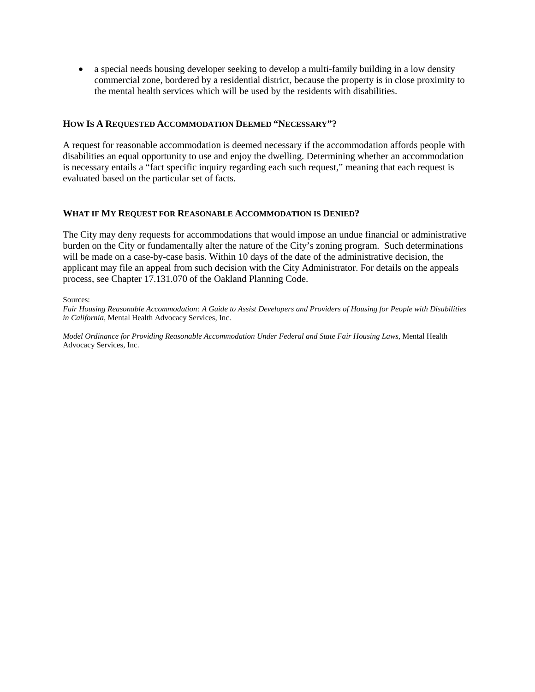• a special needs housing developer seeking to develop a multi-family building in a low density commercial zone, bordered by a residential district, because the property is in close proximity to the mental health services which will be used by the residents with disabilities.

#### **HOW IS A REQUESTED ACCOMMODATION DEEMED "NECESSARY"?**

A request for reasonable accommodation is deemed necessary if the accommodation affords people with disabilities an equal opportunity to use and enjoy the dwelling. Determining whether an accommodation is necessary entails a "fact specific inquiry regarding each such request," meaning that each request is evaluated based on the particular set of facts.

#### **WHAT IF MY REQUEST FOR REASONABLE ACCOMMODATION IS DENIED?**

The City may deny requests for accommodations that would impose an undue financial or administrative burden on the City or fundamentally alter the nature of the City's zoning program. Such determinations will be made on a case-by-case basis. Within 10 days of the date of the administrative decision, the applicant may file an appeal from such decision with the City Administrator. For details on the appeals process, see Chapter 17.131.070 of the Oakland Planning Code.

Sources:

*Fair Housing Reasonable Accommodation: A Guide to Assist Developers and Providers of Housing for People with Disabilities in California*, Mental Health Advocacy Services, Inc.

*Model Ordinance for Providing Reasonable Accommodation Under Federal and State Fair Housing Laws*, Mental Health Advocacy Services, Inc.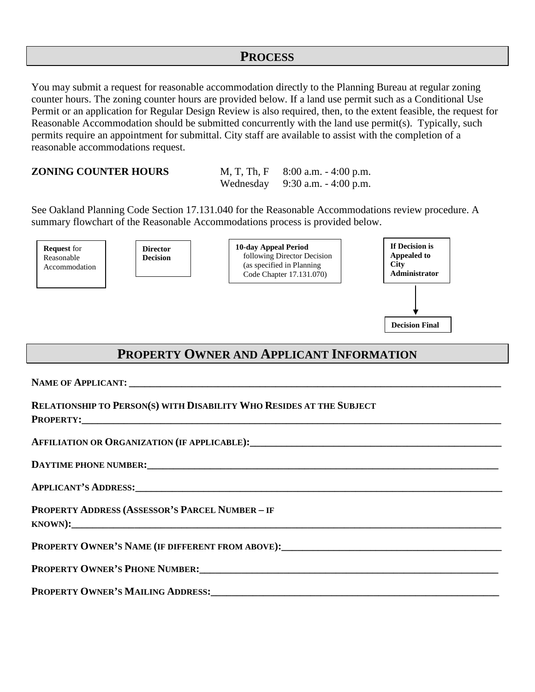## **PROCESS**

You may submit a request for reasonable accommodation directly to the Planning Bureau at regular zoning counter hours. The zoning counter hours are provided below. If a land use permit such as a Conditional Use Permit or an application for Regular Design Review is also required, then, to the extent feasible, the request for Reasonable Accommodation should be submitted concurrently with the land use permit(s). Typically, such permits require an appointment for submittal. City staff are available to assist with the completion of a reasonable accommodations request.

**ZONING COUNTER HOURS** M, T, Th, F 8:00 a.m. - 4:00 p.m. Wednesday 9:30 a.m. - 4:00 p.m.

See Oakland Planning Code Section 17.131.040 for the Reasonable Accommodations review procedure. A summary flowchart of the Reasonable Accommodations process is provided below.



# **PROPERTY OWNER AND APPLICANT INFORMATION**

NAME OF APPLICANT:

| <b>RELATIONSHIP TO PERSON(S) WITH DISABILITY WHO RESIDES AT THE SUBJECT</b>                                                                                                                                                    |
|--------------------------------------------------------------------------------------------------------------------------------------------------------------------------------------------------------------------------------|
|                                                                                                                                                                                                                                |
| DAYTIME PHONE NUMBER: CONSERVERS AND THE RESERVE OF A SERIES OF THE RESERVE OF A SERIES OF THE RESERVE OF THE RESERVE OF THE RESERVE OF THE RESERVE OF THE RESERVE OF THE RESERVE OF THE RESERVE OF THE RESERVE OF THE RESERVE |
| APPLICANT'S ADDRESS:                                                                                                                                                                                                           |
| <b>PROPERTY ADDRESS (ASSESSOR'S PARCEL NUMBER - IF</b>                                                                                                                                                                         |
| PROPERTY OWNER'S NAME (IF DIFFERENT FROM ABOVE): PROPERTY OWNER'S NAME (IF DIFFERENT FROM ABOVE):                                                                                                                              |
|                                                                                                                                                                                                                                |
| PROPERTY OWNER'S MAILING ADDRESS: Universe of the Contract of the Contract of the Contract of the Contract of T                                                                                                                |